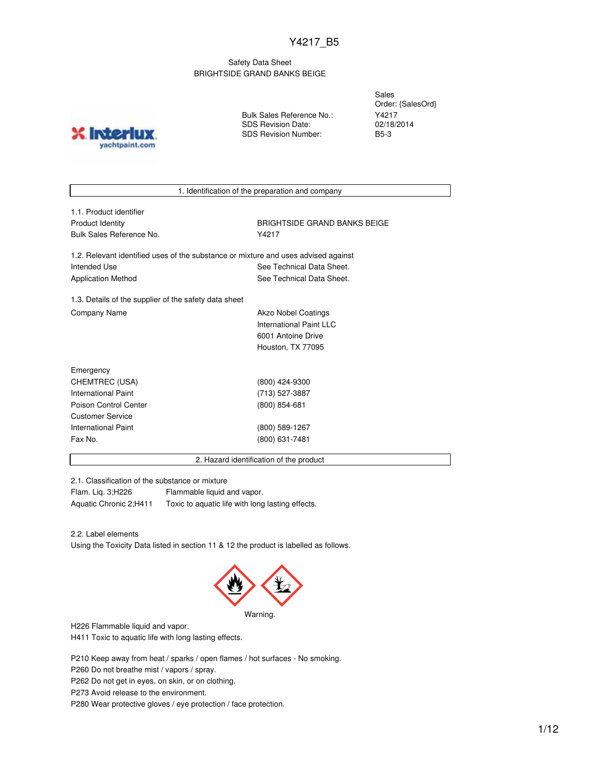### Safety Data Sheet BRIGHTSIDE GRAND BANKS BEIGE

**INICT** yachtpaint.com Bulk Sales Reference No.: SDS Revision Date: SDS Revision Number:

Sales Order: {SalesOrd} Y4217 02/18/2014 B5-3

1. Identification of the preparation and company

| 1.1. Product identifier  |
|--------------------------|
| Product Identity         |
| Bulk Sales Reference No. |

**BRIGHTSIDE GRAND BANKS BEIGE** Y4217

1.2. Relevant identified uses of the substance or mixture and uses advised against Intended Use **See Technical Data Sheet.** See Technical Data Sheet. Application Method **See Technical Data Sheet.** 

1.3. Details of the supplier of the safety data sheet Company Name **Akzo Nobel Coatings** Company Name

International Paint LLC 6001 Antoine Drive Houston, TX 77095

| Emergency                  |                 |
|----------------------------|-----------------|
| CHEMTREC (USA)             | (800) 424-9300  |
| <b>International Paint</b> | (713) 527-3887  |
| Poison Control Center      | $(800)$ 854-681 |
| <b>Customer Service</b>    |                 |
| International Paint        | (800) 589-1267  |
| Fax No.                    | (800) 631-7481  |
|                            |                 |

2. Hazard identification of the product

2.1. Classification of the substance or mixture

Flam. Liq. 3;H226 Flammable liquid and vapor. Aquatic Chronic 2;H411 Toxic to aquatic life with long lasting effects.

2.2. Label elements

Using the Toxicity Data listed in section 11 & 12 the product is labelled as follows.



Warning.

H226 Flammable liquid and vapor.

H411 Toxic to aquatic life with long lasting effects.

P210 Keep away from heat / sparks / open flames / hot surfaces - No smoking.

P260 Do not breathe mist / vapors / spray.

P262 Do not get in eyes, on skin, or on clothing.

P273 Avoid release to the environment.

P280 Wear protective gloves / eye protection / face protection.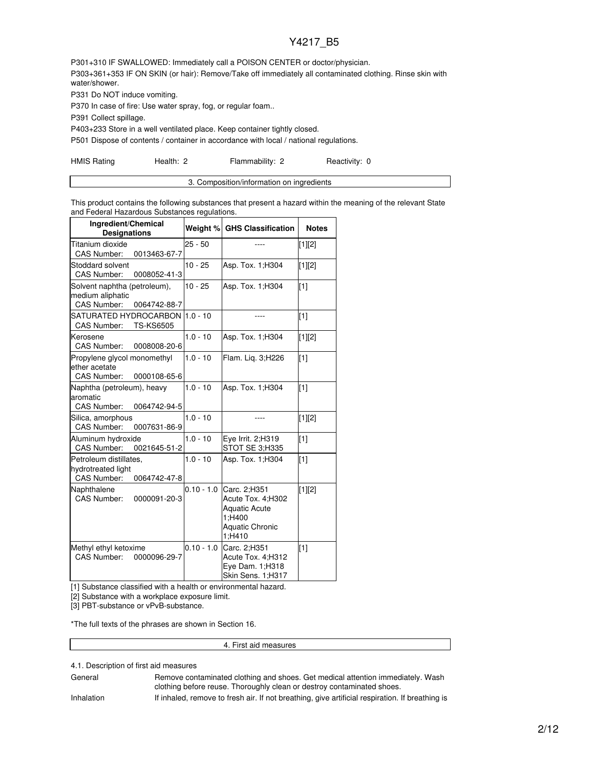P301+310 IF SWALLOWED: Immediately call a POISON CENTER or doctor/physician. P303+361+353 IF ON SKIN (or hair): Remove/Take off immediately all contaminated clothing. Rinse skin with water/shower.

P331 Do NOT induce vomiting.

P370 In case of fire: Use water spray, fog, or regular foam..

P391 Collect spillage.

P403+233 Store in a well ventilated place. Keep container tightly closed.

P501 Dispose of contents / container in accordance with local / national regulations.

HMIS Rating **Health: 2** Flammability: 2 Reactivity: 0

| 3. Composition/information on ingredients |
|-------------------------------------------|
|                                           |

This product contains the following substances that present a hazard within the meaning of the relevant State and Federal Hazardous Substances regulations.

| Ingredient/Chemical<br><b>Designations</b>                                             |              | Weight % GHS Classification                                                                             | <b>Notes</b> |
|----------------------------------------------------------------------------------------|--------------|---------------------------------------------------------------------------------------------------------|--------------|
| Titanium dioxide<br><b>CAS Number:</b><br>0013463-67-7                                 | $25 - 50$    |                                                                                                         | [1][2]       |
| Stoddard solvent<br><b>CAS Number:</b><br>0008052-41-3                                 | $10 - 25$    | Asp. Tox. 1; H304                                                                                       | [1][2]       |
| Solvent naphtha (petroleum),<br>medium aliphatic<br><b>CAS Number:</b><br>0064742-88-7 | $10 - 25$    | Asp. Tox. 1; H304                                                                                       | [1]          |
| SATURATED HYDROCARBON<br><b>CAS Number:</b><br><b>TS-KS6505</b>                        | $1.0 - 10$   | ----                                                                                                    | $[1]$        |
| Kerosene<br><b>CAS Number:</b><br>0008008-20-6                                         | $1.0 - 10$   | Asp. Tox. 1: H304                                                                                       | [1][2]       |
| Propylene glycol monomethyl<br>ether acetate<br><b>CAS Number:</b><br>0000108-65-6     | $1.0 - 10$   | Flam. Liq. 3;H226                                                                                       | [1]          |
| Naphtha (petroleum), heavy<br>aromatic<br><b>CAS Number:</b><br>0064742-94-5           | $1.0 - 10$   | Asp. Tox. 1; H304                                                                                       | [1]          |
| Silica, amorphous<br>CAS Number:<br>0007631-86-9                                       | $1.0 - 10$   |                                                                                                         | $[1][2]$     |
| Aluminum hydroxide<br><b>CAS Number:</b><br>0021645-51-2                               | $1.0 - 10$   | Eye Irrit. 2;H319<br>STOT SE 3:H335                                                                     | [1]          |
| Petroleum distillates,<br>hydrotreated light<br>CAS Number:<br>0064742-47-8            | $1.0 - 10$   | Asp. Tox. 1; H304                                                                                       | $[1]$        |
| Naphthalene<br><b>CAS Number:</b><br>0000091-20-3                                      | $0.10 - 1.0$ | Carc. 2:H351<br>Acute Tox. 4:H302<br><b>Aquatic Acute</b><br>1;H400<br><b>Aquatic Chronic</b><br>1;H410 | [1][2]       |
| Methyl ethyl ketoxime<br><b>CAS Number:</b><br>0000096-29-7                            | $0.10 - 1.0$ | Carc. 2;H351<br>Acute Tox. 4;H312<br>Eye Dam. 1;H318<br>Skin Sens. 1;H317                               | $[1]$        |

[1] Substance classified with a health or environmental hazard.

[2] Substance with a workplace exposure limit.

[3] PBT-substance or vPvB-substance.

\*The full texts of the phrases are shown in Section 16.

4. First aid measures

### 4.1. Description of first aid measures

General **Remove contaminated clothing and shoes. Get medical attention immediately. Wash** clothing before reuse. Thoroughly clean or destroy contaminated shoes.

Inhalation If inhaled, remove to fresh air. If not breathing, give artificial respiration. If breathing is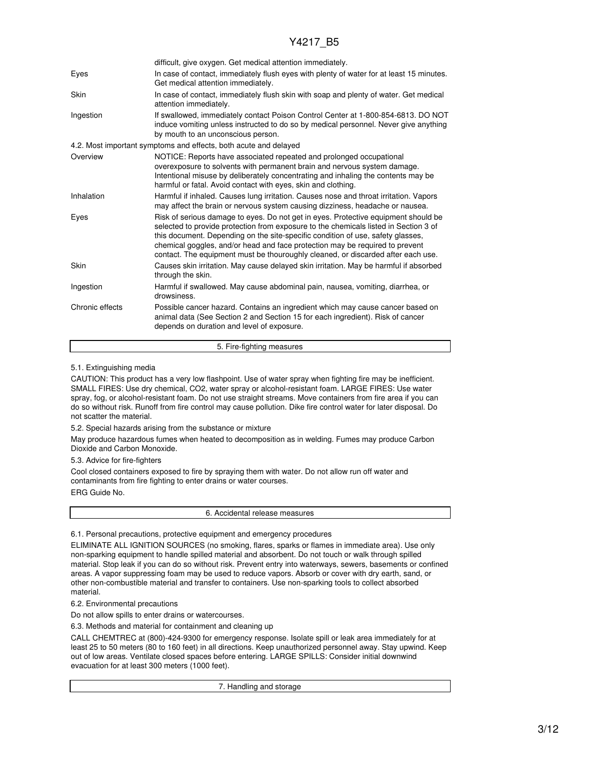|                 | difficult, give oxygen. Get medical attention immediately.                                                                                                                                                                                                                                                                                                                                                                        |
|-----------------|-----------------------------------------------------------------------------------------------------------------------------------------------------------------------------------------------------------------------------------------------------------------------------------------------------------------------------------------------------------------------------------------------------------------------------------|
| Eyes            | In case of contact, immediately flush eyes with plenty of water for at least 15 minutes.<br>Get medical attention immediately.                                                                                                                                                                                                                                                                                                    |
| Skin            | In case of contact, immediately flush skin with soap and plenty of water. Get medical<br>attention immediately.                                                                                                                                                                                                                                                                                                                   |
| Ingestion       | If swallowed, immediately contact Poison Control Center at 1-800-854-6813. DO NOT<br>induce vomiting unless instructed to do so by medical personnel. Never give anything<br>by mouth to an unconscious person.                                                                                                                                                                                                                   |
|                 | 4.2. Most important symptoms and effects, both acute and delayed                                                                                                                                                                                                                                                                                                                                                                  |
| Overview        | NOTICE: Reports have associated repeated and prolonged occupational<br>overexposure to solvents with permanent brain and nervous system damage.<br>Intentional misuse by deliberately concentrating and inhaling the contents may be<br>harmful or fatal. Avoid contact with eyes, skin and clothing.                                                                                                                             |
| Inhalation      | Harmful if inhaled. Causes lung irritation. Causes nose and throat irritation. Vapors<br>may affect the brain or nervous system causing dizziness, headache or nausea.                                                                                                                                                                                                                                                            |
| Eyes            | Risk of serious damage to eyes. Do not get in eyes. Protective equipment should be<br>selected to provide protection from exposure to the chemicals listed in Section 3 of<br>this document. Depending on the site-specific condition of use, safety glasses,<br>chemical goggles, and/or head and face protection may be required to prevent<br>contact. The equipment must be thouroughly cleaned, or discarded after each use. |
| Skin            | Causes skin irritation. May cause delayed skin irritation. May be harmful if absorbed<br>through the skin.                                                                                                                                                                                                                                                                                                                        |
| Ingestion       | Harmful if swallowed. May cause abdominal pain, nausea, vomiting, diarrhea, or<br>drowsiness.                                                                                                                                                                                                                                                                                                                                     |
| Chronic effects | Possible cancer hazard. Contains an ingredient which may cause cancer based on<br>animal data (See Section 2 and Section 15 for each ingredient). Risk of cancer<br>depends on duration and level of exposure.                                                                                                                                                                                                                    |

#### 5. Fire-fighting measures

#### 5.1. Extinguishing media

CAUTION: This product has a very low flashpoint. Use of water spray when fighting fire may be inefficient. SMALL FIRES: Use dry chemical, CO2, water spray or alcohol-resistant foam. LARGE FIRES: Use water spray, fog, or alcohol-resistant foam. Do not use straight streams. Move containers from fire area if you can do so without risk. Runoff from fire control may cause pollution. Dike fire control water for later disposal. Do not scatter the material.

5.2. Special hazards arising from the substance or mixture

May produce hazardous fumes when heated to decomposition as in welding. Fumes may produce Carbon Dioxide and Carbon Monoxide.

5.3. Advice for fire-fighters

Cool closed containers exposed to fire by spraying them with water. Do not allow run off water and contaminants from fire fighting to enter drains or water courses.

ERG Guide No.

6. Accidental release measures

6.1. Personal precautions, protective equipment and emergency procedures

ELIMINATE ALL IGNITION SOURCES (no smoking, flares, sparks or flames in immediate area). Use only non-sparking equipment to handle spilled material and absorbent. Do not touch or walk through spilled material. Stop leak if you can do so without risk. Prevent entry into waterways, sewers, basements or confined areas. A vapor suppressing foam may be used to reduce vapors. Absorb or cover with dry earth, sand, or other non-combustible material and transfer to containers. Use non-sparking tools to collect absorbed material.

6.2. Environmental precautions

Do not allow spills to enter drains or watercourses.

6.3. Methods and material for containment and cleaning up

CALL CHEMTREC at (800)-424-9300 for emergency response. Isolate spill or leak area immediately for at least 25 to 50 meters (80 to 160 feet) in all directions. Keep unauthorized personnel away. Stay upwind. Keep out of low areas. Ventilate closed spaces before entering. LARGE SPILLS: Consider initial downwind evacuation for at least 300 meters (1000 feet).

7. Handling and storage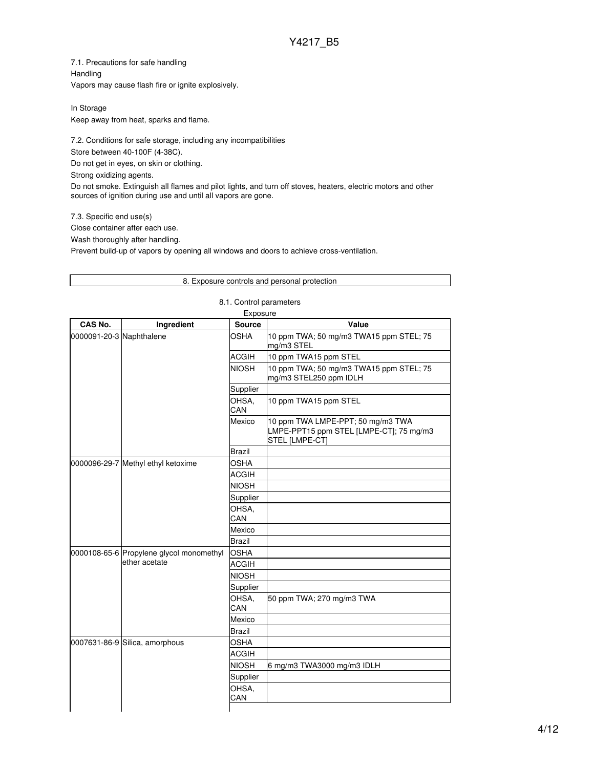7.1. Precautions for safe handling Handling Vapors may cause flash fire or ignite explosively.

In Storage Keep away from heat, sparks and flame.

7.2. Conditions for safe storage, including any incompatibilities Store between 40-100F (4-38C). Do not get in eyes, on skin or clothing. Strong oxidizing agents. Do not smoke. Extinguish all flames and pilot lights, and turn off stoves, heaters, electric motors and other sources of ignition during use and until all vapors are gone.

7.3. Specific end use(s) Close container after each use.

Wash thoroughly after handling.

Prevent build-up of vapors by opening all windows and doors to achieve cross-ventilation.

|                          |                                                           | Exposure      |                                                                                                |
|--------------------------|-----------------------------------------------------------|---------------|------------------------------------------------------------------------------------------------|
| CAS No.                  | Ingredient                                                | <b>Source</b> | Value                                                                                          |
| 0000091-20-3 Naphthalene |                                                           | OSHA          | 10 ppm TWA; 50 mg/m3 TWA15 ppm STEL; 75<br>mg/m3 STEL                                          |
|                          |                                                           | <b>ACGIH</b>  | 10 ppm TWA15 ppm STEL                                                                          |
|                          |                                                           | <b>NIOSH</b>  | 10 ppm TWA; 50 mg/m3 TWA15 ppm STEL; 75<br>mg/m3 STEL250 ppm IDLH                              |
|                          |                                                           | Supplier      |                                                                                                |
|                          |                                                           | OHSA,<br>CAN  | 10 ppm TWA15 ppm STEL                                                                          |
|                          |                                                           | Mexico        | 10 ppm TWA LMPE-PPT; 50 mg/m3 TWA<br>LMPE-PPT15 ppm STEL [LMPE-CT]; 75 mg/m3<br>STEL [LMPE-CT] |
|                          |                                                           | <b>Brazil</b> |                                                                                                |
|                          | 0000096-29-7 Methyl ethyl ketoxime                        | <b>OSHA</b>   |                                                                                                |
|                          |                                                           | <b>ACGIH</b>  |                                                                                                |
|                          |                                                           | <b>NIOSH</b>  |                                                                                                |
|                          |                                                           | Supplier      |                                                                                                |
|                          |                                                           | OHSA,<br>CAN  |                                                                                                |
|                          |                                                           | Mexico        |                                                                                                |
|                          |                                                           | <b>Brazil</b> |                                                                                                |
|                          | 0000108-65-6 Propylene glycol monomethyl<br>ether acetate | <b>OSHA</b>   |                                                                                                |
|                          |                                                           | <b>ACGIH</b>  |                                                                                                |
|                          |                                                           | <b>NIOSH</b>  |                                                                                                |
|                          |                                                           | Supplier      |                                                                                                |
|                          |                                                           | OHSA.<br>CAN  | 50 ppm TWA; 270 mg/m3 TWA                                                                      |
|                          |                                                           | Mexico        |                                                                                                |
|                          |                                                           | <b>Brazil</b> |                                                                                                |
|                          | 0007631-86-9 Silica, amorphous                            | <b>OSHA</b>   |                                                                                                |
|                          |                                                           | <b>ACGIH</b>  |                                                                                                |
|                          |                                                           | <b>NIOSH</b>  | 6 mg/m3 TWA3000 mg/m3 IDLH                                                                     |
|                          |                                                           | Supplier      |                                                                                                |
|                          |                                                           | OHSA,         |                                                                                                |
|                          |                                                           | CAN           |                                                                                                |

### 8.1. Control parameters

8. Exposure controls and personal protection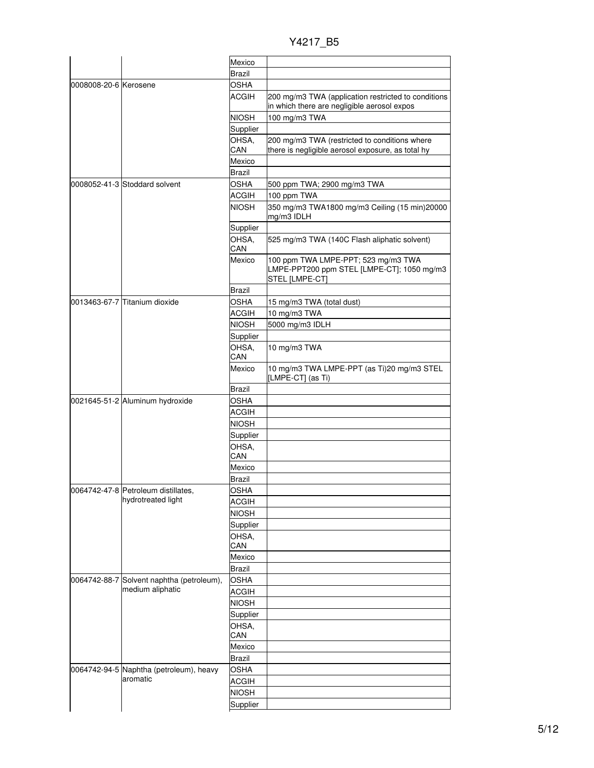Y4217\_B5

|                       |                                                               | Mexico        |                                                                                                     |
|-----------------------|---------------------------------------------------------------|---------------|-----------------------------------------------------------------------------------------------------|
|                       |                                                               | <b>Brazil</b> |                                                                                                     |
| 0008008-20-6 Kerosene |                                                               | <b>OSHA</b>   |                                                                                                     |
|                       |                                                               | <b>ACGIH</b>  | 200 mg/m3 TWA (application restricted to conditions                                                 |
|                       |                                                               |               | in which there are negligible aerosol expos                                                         |
|                       |                                                               | <b>NIOSH</b>  | 100 mg/m3 TWA                                                                                       |
|                       |                                                               | Supplier      |                                                                                                     |
|                       |                                                               | OHSA,<br>CAN  | 200 mg/m3 TWA (restricted to conditions where<br>there is negligible aerosol exposure, as total hy  |
|                       |                                                               | Mexico        |                                                                                                     |
|                       |                                                               | <b>Brazil</b> |                                                                                                     |
|                       | 0008052-41-3 Stoddard solvent                                 | <b>OSHA</b>   | 500 ppm TWA; 2900 mg/m3 TWA                                                                         |
|                       |                                                               | <b>ACGIH</b>  | 100 ppm TWA                                                                                         |
|                       |                                                               | <b>NIOSH</b>  | 350 mg/m3 TWA1800 mg/m3 Ceiling (15 min)20000<br>mg/m3 IDLH                                         |
|                       |                                                               | Supplier      |                                                                                                     |
|                       |                                                               | OHSA,         | 525 mg/m3 TWA (140C Flash aliphatic solvent)                                                        |
|                       |                                                               | CAN           |                                                                                                     |
|                       |                                                               | Mexico        | 100 ppm TWA LMPE-PPT; 523 mg/m3 TWA<br>LMPE-PPT200 ppm STEL [LMPE-CT]; 1050 mg/m3<br>STEL [LMPE-CT] |
|                       |                                                               | <b>Brazil</b> |                                                                                                     |
|                       | l0013463-67-7 lTitanium dioxide                               | OSHA          | 15 mg/m3 TWA (total dust)                                                                           |
|                       |                                                               | <b>ACGIH</b>  | 10 mg/m3 TWA                                                                                        |
|                       |                                                               | <b>NIOSH</b>  | 5000 mg/m3 IDLH                                                                                     |
|                       |                                                               | Supplier      |                                                                                                     |
|                       |                                                               | OHSA,         | 10 mg/m3 TWA                                                                                        |
|                       |                                                               | CAN           |                                                                                                     |
|                       |                                                               | Mexico        | 10 mg/m3 TWA LMPE-PPT (as Ti)20 mg/m3 STEL<br>[LMPE-CT] (as Ti)                                     |
|                       |                                                               | <b>Brazil</b> |                                                                                                     |
|                       | 0021645-51-2 Aluminum hydroxide                               | OSHA          |                                                                                                     |
|                       |                                                               | ACGIH         |                                                                                                     |
|                       |                                                               | <b>NIOSH</b>  |                                                                                                     |
|                       |                                                               | Supplier      |                                                                                                     |
|                       |                                                               | OHSA,         |                                                                                                     |
|                       |                                                               | CAN           |                                                                                                     |
|                       |                                                               | Mexico        |                                                                                                     |
|                       |                                                               | Brazil        |                                                                                                     |
|                       | 0064742-47-8  Petroleum distillates,                          | OSHA          |                                                                                                     |
|                       | hydrotreated light                                            | <b>ACGIH</b>  |                                                                                                     |
|                       |                                                               | <b>NIOSH</b>  |                                                                                                     |
|                       |                                                               | Supplier      |                                                                                                     |
|                       |                                                               | OHSA,         |                                                                                                     |
|                       |                                                               | CAN           |                                                                                                     |
|                       |                                                               | Mexico        |                                                                                                     |
|                       |                                                               | <b>Brazil</b> |                                                                                                     |
|                       | 0064742-88-7 Solvent naphtha (petroleum),<br>medium aliphatic | <b>OSHA</b>   |                                                                                                     |
|                       |                                                               | <b>ACGIH</b>  |                                                                                                     |
|                       |                                                               | <b>NIOSH</b>  |                                                                                                     |
|                       |                                                               | Supplier      |                                                                                                     |
|                       |                                                               | OHSA,         |                                                                                                     |
|                       |                                                               | CAN           |                                                                                                     |
|                       |                                                               | Mexico        |                                                                                                     |
|                       |                                                               | Brazil        |                                                                                                     |
|                       | 0064742-94-5 Naphtha (petroleum), heavy                       | <b>OSHA</b>   |                                                                                                     |
|                       | aromatic                                                      | <b>ACGIH</b>  |                                                                                                     |
|                       |                                                               | <b>NIOSH</b>  |                                                                                                     |
|                       |                                                               | Supplier      |                                                                                                     |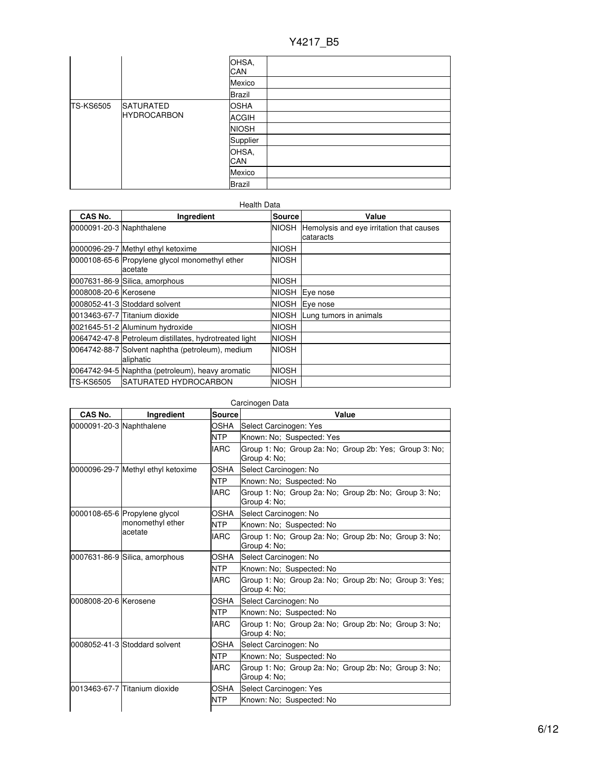|                  |                                        | OHSA,<br>CAN  |  |
|------------------|----------------------------------------|---------------|--|
|                  |                                        | Mexico        |  |
|                  |                                        | <b>Brazil</b> |  |
| <b>TS-KS6505</b> | <b>SATURATED</b><br><b>HYDROCARBON</b> | <b>OSHA</b>   |  |
|                  |                                        | <b>ACGIH</b>  |  |
|                  |                                        | <b>NIOSH</b>  |  |
|                  |                                        | Supplier      |  |
|                  |                                        | OHSA,<br>CAN  |  |
|                  |                                        | Mexico        |  |
|                  |                                        | <b>Brazil</b> |  |

#### Health Data **CAS No. Ingredient Source Value** 0000091-20-3 Naphthalene Nicolas Animal Society NIOSH Hemolysis and eye irritation that causes cataracts 0000096-29-7 Methyl ethyl ketoxime NIOSH 0000108-65-6 Propylene glycol monomethyl ether acetate NIOSH 0007631-86-9 Silica, amorphous NIOSH 0008008-20-6 Kerosene NIOSH Eye nose 0008052-41-3 Stoddard solvent NIOSH Eye nose 0013463-67-7 Titanium dioxide NIOSH Lung tumors in animals 0021645-51-2 Aluminum hydroxide NIOSH 0064742-47-8 Petroleum distillates, hydrotreated light | NIOSH 0064742-88-7 Solvent naphtha (petroleum), medium aliphatic NIOSH 0064742-94-5 Naphtha (petroleum), heavy aromatic | NIOSH TS-KS6505 SATURATED HYDROCARBON NIOSH

| CAS No.                  | Ingredient                         | <b>Source</b> | Value                                                                  |
|--------------------------|------------------------------------|---------------|------------------------------------------------------------------------|
| 0000091-20-3 Naphthalene |                                    | OSHA          | Select Carcinogen: Yes                                                 |
|                          |                                    | <b>NTP</b>    | Known: No; Suspected: Yes                                              |
|                          |                                    | <b>IARC</b>   | Group 1: No; Group 2a: No; Group 2b: Yes; Group 3: No;<br>Group 4: No; |
|                          | 0000096-29-7 Methyl ethyl ketoxime | <b>OSHA</b>   | Select Carcinogen: No                                                  |
|                          |                                    | <b>NTP</b>    | Known: No; Suspected: No                                               |
|                          |                                    | <b>IARC</b>   | Group 1: No; Group 2a: No; Group 2b: No; Group 3: No;<br>Group 4: No:  |
|                          | 0000108-65-6 Propylene glycol      | OSHA          | Select Carcinogen: No                                                  |
|                          | monomethyl ether                   | <b>NTP</b>    | Known: No: Suspected: No                                               |
|                          | acetate                            | <b>IARC</b>   | Group 1: No; Group 2a: No; Group 2b: No; Group 3: No;<br>Group 4: No:  |
|                          | 0007631-86-9 Silica, amorphous     | OSHA          | Select Carcinogen: No                                                  |
|                          |                                    | <b>NTP</b>    | Known: No: Suspected: No                                               |
|                          |                                    | <b>IARC</b>   | Group 1: No; Group 2a: No; Group 2b: No; Group 3: Yes;<br>Group 4: No: |
| 0008008-20-6 Kerosene    |                                    | OSHA          | Select Carcinogen: No                                                  |
|                          |                                    | <b>NTP</b>    | Known: No: Suspected: No                                               |
|                          |                                    | <b>IARC</b>   | Group 1: No; Group 2a: No; Group 2b: No; Group 3: No;<br>Group 4: No;  |
|                          | 0008052-41-3 Stoddard solvent      | OSHA          | Select Carcinogen: No                                                  |
|                          |                                    | <b>NTP</b>    | Known: No; Suspected: No                                               |
|                          |                                    | <b>IARC</b>   | Group 1: No; Group 2a: No; Group 2b: No; Group 3: No;<br>Group 4: No:  |
|                          | 0013463-67-7 Titanium dioxide      | <b>OSHA</b>   | Select Carcinogen: Yes                                                 |
|                          |                                    | <b>NTP</b>    | Known: No; Suspected: No                                               |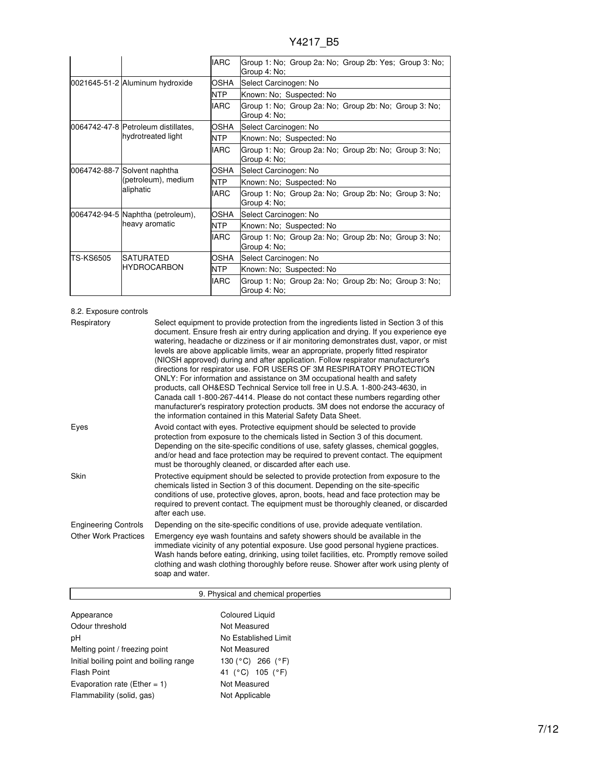|           |                                                                  | <b>IARC</b> | Group 1: No; Group 2a: No; Group 2b: Yes; Group 3: No;<br>Group 4: No; |
|-----------|------------------------------------------------------------------|-------------|------------------------------------------------------------------------|
|           | 0021645-51-2 Aluminum hydroxide                                  | OSHA        | Select Carcinogen: No                                                  |
|           |                                                                  | <b>NTP</b>  | Known: No; Suspected: No                                               |
|           |                                                                  | <b>IARC</b> | Group 1: No; Group 2a: No; Group 2b: No; Group 3: No;<br>Group 4: No;  |
|           | 0064742-47-8 Petroleum distillates,                              | OSHA        | Select Carcinogen: No                                                  |
|           | hydrotreated light                                               | <b>NTP</b>  | Known: No: Suspected: No                                               |
|           |                                                                  | <b>IARC</b> | Group 1: No; Group 2a: No; Group 2b: No; Group 3: No;<br>Group 4: No;  |
|           | 0064742-88-7 Solvent naphtha<br>(petroleum), medium<br>aliphatic | OSHA        | Select Carcinogen: No                                                  |
|           |                                                                  | <b>NTP</b>  | Known: No; Suspected: No                                               |
|           |                                                                  | <b>IARC</b> | Group 1: No; Group 2a: No; Group 2b: No; Group 3: No;<br>Group 4: No;  |
|           | 0064742-94-5 Naphtha (petroleum),                                | OSHA        | Select Carcinogen: No                                                  |
|           | heavy aromatic                                                   | <b>NTP</b>  | Known: No; Suspected: No                                               |
|           |                                                                  | <b>IARC</b> | Group 1: No; Group 2a: No; Group 2b: No; Group 3: No;<br>Group 4: No;  |
| TS-KS6505 | <b>SATURATED</b><br><b>HYDROCARBON</b>                           | OSHA        | Select Carcinogen: No                                                  |
|           |                                                                  | <b>NTP</b>  | Known: No; Suspected: No                                               |
|           |                                                                  | <b>IARC</b> | Group 1: No; Group 2a: No; Group 2b: No; Group 3: No;<br>Group 4: No;  |

## 8.2. Exposure controls

| Respiratory                 | Select equipment to provide protection from the ingredients listed in Section 3 of this<br>document. Ensure fresh air entry during application and drying. If you experience eye<br>watering, headache or dizziness or if air monitoring demonstrates dust, vapor, or mist<br>levels are above applicable limits, wear an appropriate, properly fitted respirator<br>(NIOSH approved) during and after application. Follow respirator manufacturer's<br>directions for respirator use. FOR USERS OF 3M RESPIRATORY PROTECTION<br>ONLY: For information and assistance on 3M occupational health and safety<br>products, call OH&ESD Technical Service toll free in U.S.A. 1-800-243-4630, in<br>Canada call 1-800-267-4414. Please do not contact these numbers regarding other<br>manufacturer's respiratory protection products. 3M does not endorse the accuracy of<br>the information contained in this Material Safety Data Sheet. |
|-----------------------------|-----------------------------------------------------------------------------------------------------------------------------------------------------------------------------------------------------------------------------------------------------------------------------------------------------------------------------------------------------------------------------------------------------------------------------------------------------------------------------------------------------------------------------------------------------------------------------------------------------------------------------------------------------------------------------------------------------------------------------------------------------------------------------------------------------------------------------------------------------------------------------------------------------------------------------------------|
| Eyes                        | Avoid contact with eyes. Protective equipment should be selected to provide<br>protection from exposure to the chemicals listed in Section 3 of this document.<br>Depending on the site-specific conditions of use, safety glasses, chemical goggles,<br>and/or head and face protection may be required to prevent contact. The equipment<br>must be thoroughly cleaned, or discarded after each use.                                                                                                                                                                                                                                                                                                                                                                                                                                                                                                                                  |
| Skin                        | Protective equipment should be selected to provide protection from exposure to the<br>chemicals listed in Section 3 of this document. Depending on the site-specific<br>conditions of use, protective gloves, apron, boots, head and face protection may be<br>required to prevent contact. The equipment must be thoroughly cleaned, or discarded<br>after each use.                                                                                                                                                                                                                                                                                                                                                                                                                                                                                                                                                                   |
| <b>Engineering Controls</b> | Depending on the site-specific conditions of use, provide adequate ventilation.                                                                                                                                                                                                                                                                                                                                                                                                                                                                                                                                                                                                                                                                                                                                                                                                                                                         |
| <b>Other Work Practices</b> | Emergency eye wash fountains and safety showers should be available in the<br>immediate vicinity of any potential exposure. Use good personal hygiene practices.<br>Wash hands before eating, drinking, using toilet facilities, etc. Promptly remove soiled<br>clothing and wash clothing thoroughly before reuse. Shower after work using plenty of<br>soap and water.                                                                                                                                                                                                                                                                                                                                                                                                                                                                                                                                                                |

## 9. Physical and chemical properties

| Appearance                              | <b>Coloured Liquid</b>                  |
|-----------------------------------------|-----------------------------------------|
| Odour threshold                         | Not Measured                            |
| рH                                      | No Established Limit                    |
| Melting point / freezing point          | Not Measured                            |
| Initial boiling point and boiling range | 130 ( $^{\circ}$ C) 266 ( $^{\circ}$ F) |
| Flash Point                             | 41 (°C) 105 (°F)                        |
| Evaporation rate (Ether = $1$ )         | Not Measured                            |
| Flammability (solid, gas)               | Not Applicable                          |
|                                         |                                         |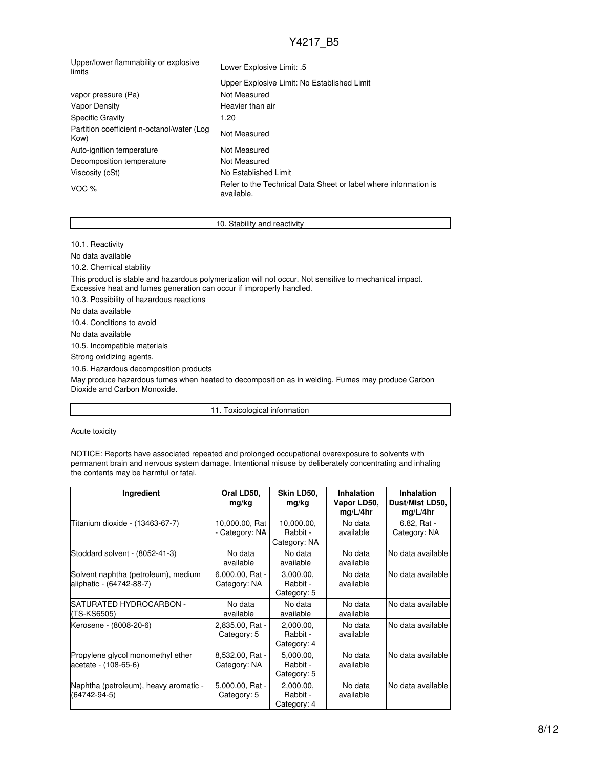| Upper/lower flammability or explosive<br>limits    | Lower Explosive Limit: .5                                                     |  |  |
|----------------------------------------------------|-------------------------------------------------------------------------------|--|--|
|                                                    | Upper Explosive Limit: No Established Limit                                   |  |  |
| vapor pressure (Pa)                                | Not Measured                                                                  |  |  |
| Vapor Density                                      | Heavier than air                                                              |  |  |
| <b>Specific Gravity</b>                            | 1.20                                                                          |  |  |
| Partition coefficient n-octanol/water (Log<br>Kow) | Not Measured                                                                  |  |  |
| Auto-ignition temperature                          | Not Measured                                                                  |  |  |
| Decomposition temperature                          | Not Measured                                                                  |  |  |
| Viscosity (cSt)                                    | No Established Limit                                                          |  |  |
| VOC $%$                                            | Refer to the Technical Data Sheet or label where information is<br>available. |  |  |
|                                                    |                                                                               |  |  |

### 10. Stability and reactivity

10.1. Reactivity

No data available 10.2. Chemical stability This product is stable and hazardous polymerization will not occur. Not sensitive to mechanical impact. Excessive heat and fumes generation can occur if improperly handled. 10.3. Possibility of hazardous reactions No data available 10.4. Conditions to avoid No data available 10.5. Incompatible materials Strong oxidizing agents. 10.6. Hazardous decomposition products

May produce hazardous fumes when heated to decomposition as in welding. Fumes may produce Carbon Dioxide and Carbon Monoxide.

11. Toxicological information

Acute toxicity

NOTICE: Reports have associated repeated and prolonged occupational overexposure to solvents with permanent brain and nervous system damage. Intentional misuse by deliberately concentrating and inhaling the contents may be harmful or fatal.

| Ingredient                                                      | Oral LD50,<br>mg/kg              | Skin LD50,<br>mg/kg                    | <b>Inhalation</b><br>Vapor LD50,<br>mg/L/4hr | <b>Inhalation</b><br>Dust/Mist LD50,<br>mg/L/4hr |
|-----------------------------------------------------------------|----------------------------------|----------------------------------------|----------------------------------------------|--------------------------------------------------|
| Titanium dioxide - (13463-67-7)                                 | 10,000.00, Rat<br>- Category: NA | 10,000.00,<br>Rabbit -<br>Category: NA | No data<br>available                         | 6.82, Rat -<br>Category: NA                      |
| Stoddard solvent - (8052-41-3)                                  | No data<br>available             | No data<br>available                   | No data<br>available                         | No data available                                |
| Solvent naphtha (petroleum), medium<br>aliphatic - (64742-88-7) | 6,000.00, Rat -<br>Category: NA  | 3.000.00.<br>Rabbit -<br>Category: 5   | No data<br>available                         | No data available                                |
| SATURATED HYDROCARBON -<br>(TS-KS6505)                          | No data<br>available             | No data<br>available                   | No data<br>available                         | No data available                                |
| Kerosene - (8008-20-6)                                          | 2,835.00, Rat -<br>Category: 5   | 2.000.00.<br>Rabbit -<br>Category: 4   | No data<br>available                         | No data available                                |
| Propylene glycol monomethyl ether<br>acetate - (108-65-6)       | 8,532.00, Rat -<br>Category: NA  | 5.000.00.<br>Rabbit -<br>Category: 5   | No data<br>available                         | No data available                                |
| Naphtha (petroleum), heavy aromatic -<br>$(64742 - 94 - 5)$     | 5,000.00, Rat -<br>Category: 5   | 2.000.00.<br>Rabbit -<br>Category: 4   | No data<br>available                         | No data available                                |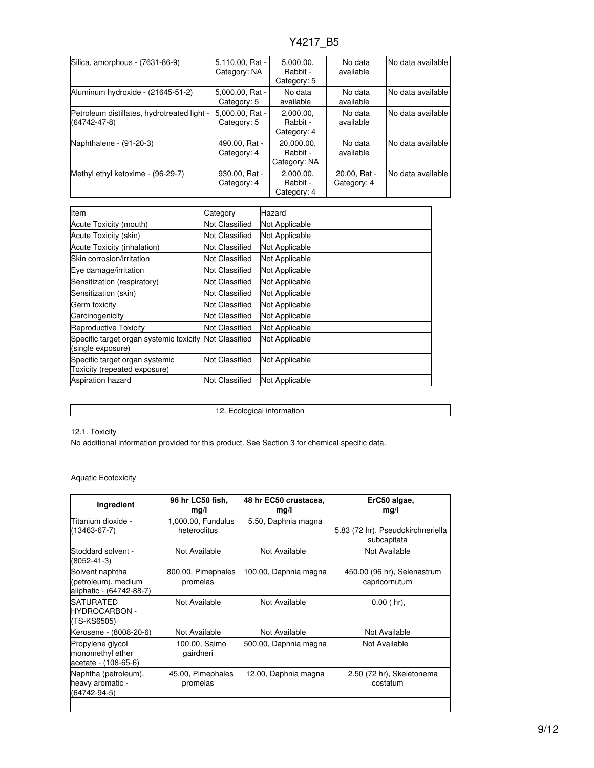| Silica, amorphous - (7631-86-9)                                   | $5.110.00$ . Rat -<br>Category: NA | 5.000.00.<br>Rabbit -<br>Category: 5   | No data<br>available        | INo data available |
|-------------------------------------------------------------------|------------------------------------|----------------------------------------|-----------------------------|--------------------|
| Aluminum hydroxide - (21645-51-2)                                 | 5.000.00, Rat -<br>Category: 5     | No data<br>available                   | No data<br>available        | INo data available |
| Petroleum distillates, hydrotreated light -<br>$(64742 - 47 - 8)$ | 5.000.00. Rat -<br>Category: 5     | 2,000.00,<br>Rabbit -<br>Category: 4   | No data<br>available        | No data available  |
| Naphthalene - (91-20-3)                                           | 490.00, Rat -<br>Category: 4       | 20.000.00.<br>Rabbit -<br>Category: NA | No data<br>available        | INo data available |
| Methyl ethyl ketoxime - (96-29-7)                                 | 930.00, Rat -<br>Category: 4       | 2,000.00,<br>Rabbit -<br>Category: 4   | 20.00, Rat -<br>Category: 4 | INo data available |

| <b>Item</b>                                                                 | Category              | Hazard                |
|-----------------------------------------------------------------------------|-----------------------|-----------------------|
| Acute Toxicity (mouth)                                                      | Not Classified        | Not Applicable        |
| Acute Toxicity (skin)                                                       | Not Classified        | Not Applicable        |
| Acute Toxicity (inhalation)                                                 | Not Classified        | Not Applicable        |
| Skin corrosion/irritation                                                   | Not Classified        | Not Applicable        |
| Eye damage/irritation                                                       | Not Classified        | Not Applicable        |
| Sensitization (respiratory)                                                 | Not Classified        | Not Applicable        |
| Sensitization (skin)                                                        | Not Classified        | <b>Not Applicable</b> |
| Germ toxicity                                                               | Not Classified        | Not Applicable        |
| Carcinogenicity                                                             | Not Classified        | Not Applicable        |
| Reproductive Toxicity                                                       | Not Classified        | <b>Not Applicable</b> |
| Specific target organ systemic toxicity Not Classified<br>(single exposure) |                       | Not Applicable        |
| Specific target organ systemic<br>Toxicity (repeated exposure)              | <b>Not Classified</b> | Not Applicable        |
| <b>Aspiration hazard</b>                                                    | Not Classified        | Not Applicable        |

12. Ecological information

12.1. Toxicity

No additional information provided for this product. See Section 3 for chemical specific data.

### Aquatic Ecotoxicity

| Ingredient                                                         | 96 hr LC50 fish,<br>mg/l           | 48 hr EC50 crustacea,<br>mg/l | ErC50 algae,<br>mg/l                             |
|--------------------------------------------------------------------|------------------------------------|-------------------------------|--------------------------------------------------|
| Titanium dioxide -<br>$(13463 - 67 - 7)$                           | 1,000.00, Fundulus<br>heteroclitus | 5.50, Daphnia magna           | 5.83 (72 hr), Pseudokirchneriella<br>subcapitata |
| Stoddard solvent -<br>(8052-41-3)                                  | Not Available                      | Not Available                 | Not Available                                    |
| Solvent naphtha<br>(petroleum), medium<br>aliphatic - (64742-88-7) | 800.00, Pimephales<br>promelas     | 100.00, Daphnia magna         | 450.00 (96 hr), Selenastrum<br>capricornutum     |
| <b>SATURATED</b><br>HYDROCARBON -<br>(TS-KS6505)                   | Not Available                      | Not Available                 | $0.00$ (hr),                                     |
| Kerosene - (8008-20-6)                                             | Not Available                      | Not Available                 | Not Available                                    |
| Propylene glycol<br>monomethyl ether<br>acetate - (108-65-6)       | 100.00, Salmo<br>gairdneri         | 500.00, Daphnia magna         | Not Available                                    |
| Naphtha (petroleum),<br>heavy aromatic -<br>(64742-94-5)           | 45.00, Pimephales<br>promelas      | 12.00, Daphnia magna          | 2.50 (72 hr), Skeletonema<br>costatum            |
|                                                                    |                                    |                               |                                                  |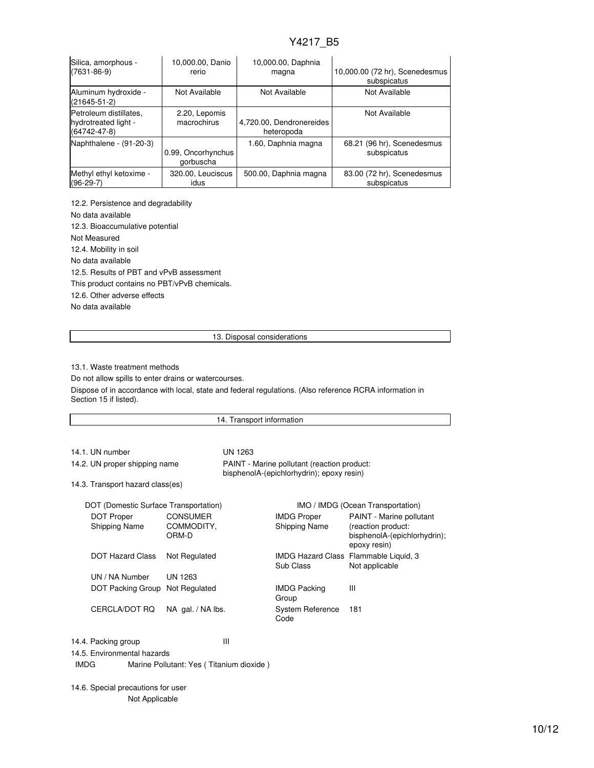| Silica, amorphous -<br>$(7631 - 86 - 9)$                             | 10,000.00, Danio<br>rerio       | 10,000.00, Daphnia<br>magna            | 10,000.00 (72 hr), Scenedesmus<br>subspicatus |
|----------------------------------------------------------------------|---------------------------------|----------------------------------------|-----------------------------------------------|
| Aluminum hydroxide -<br>$(21645 - 51 - 2)$                           | Not Available                   | Not Available                          | Not Available                                 |
| Petroleum distillates.<br>hydrotreated light -<br>$(64742 - 47 - 8)$ | 2.20, Lepomis<br>macrochirus    | 4,720.00, Dendronereides<br>heteropoda | Not Available                                 |
| Naphthalene - (91-20-3)                                              | 0.99, Oncorhynchus<br>gorbuscha | 1.60, Daphnia magna                    | 68.21 (96 hr), Scenedesmus<br>subspicatus     |
| Methyl ethyl ketoxime -<br>$(96-29-7)$                               | 320.00, Leuciscus<br>idus       | 500.00, Daphnia magna                  | 83.00 (72 hr), Scenedesmus<br>subspicatus     |

12.2. Persistence and degradability No data available 12.3. Bioaccumulative potential Not Measured 12.4. Mobility in soil No data available 12.5. Results of PBT and vPvB assessment This product contains no PBT/vPvB chemicals. 12.6. Other adverse effects No data available

13. Disposal considerations

13.1. Waste treatment methods

Do not allow spills to enter drains or watercourses.

Dispose of in accordance with local, state and federal regulations. (Also reference RCRA information in Section 15 if listed).

| 14. Transport information             |                                        |                                                                                          |                                     |                                                                                                       |
|---------------------------------------|----------------------------------------|------------------------------------------------------------------------------------------|-------------------------------------|-------------------------------------------------------------------------------------------------------|
|                                       |                                        |                                                                                          |                                     |                                                                                                       |
| 14.1. UN number                       |                                        | UN 1263                                                                                  |                                     |                                                                                                       |
| 14.2. UN proper shipping name         |                                        | PAINT - Marine pollutant (reaction product:<br>bisphenolA-(epichlorhydrin); epoxy resin) |                                     |                                                                                                       |
| 14.3. Transport hazard class(es)      |                                        |                                                                                          |                                     |                                                                                                       |
| DOT (Domestic Surface Transportation) |                                        |                                                                                          | IMO / IMDG (Ocean Transportation)   |                                                                                                       |
| <b>DOT Proper</b><br>Shipping Name    | <b>CONSUMER</b><br>COMMODITY.<br>ORM-D |                                                                                          | <b>IMDG Proper</b><br>Shipping Name | <b>PAINT</b> - Marine pollutant<br>(reaction product:<br>bisphenolA-(epichlorhydrin);<br>epoxy resin) |
| <b>DOT Hazard Class</b>               | Not Regulated                          |                                                                                          | Sub Class                           | IMDG Hazard Class Flammable Liquid, 3<br>Not applicable                                               |
| UN / NA Number                        | UN 1263                                |                                                                                          |                                     |                                                                                                       |
| DOT Packing Group                     | Not Regulated                          |                                                                                          | <b>IMDG Packing</b><br>Group        | Ш                                                                                                     |
| CERCLA/DOT RQ                         | NA gal. / NA lbs.                      |                                                                                          | System Reference                    | 181                                                                                                   |

Code

14.4. Packing group III

14.5. Environmental hazards

IMDG Marine Pollutant: Yes ( Titanium dioxide )

14.6. Special precautions for user Not Applicable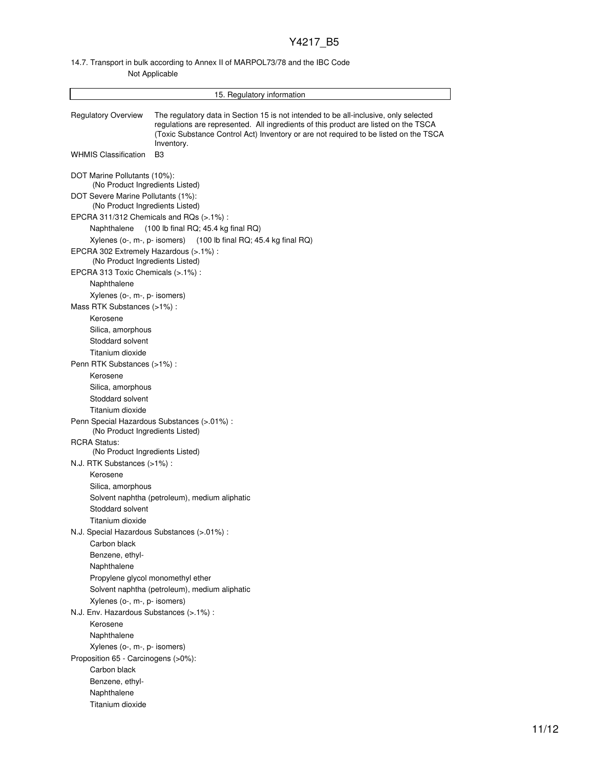### 14.7. Transport in bulk according to Annex II of MARPOL73/78 and the IBC Code Not Applicable

| 15. Regulatory information                                                |                                                                                                                                                                                                                                                                                   |  |  |
|---------------------------------------------------------------------------|-----------------------------------------------------------------------------------------------------------------------------------------------------------------------------------------------------------------------------------------------------------------------------------|--|--|
| <b>Regulatory Overview</b>                                                | The regulatory data in Section 15 is not intended to be all-inclusive, only selected<br>regulations are represented. All ingredients of this product are listed on the TSCA<br>(Toxic Substance Control Act) Inventory or are not required to be listed on the TSCA<br>Inventory. |  |  |
| <b>WHMIS Classification</b>                                               | B <sub>3</sub>                                                                                                                                                                                                                                                                    |  |  |
| DOT Marine Pollutants (10%):<br>(No Product Ingredients Listed)           |                                                                                                                                                                                                                                                                                   |  |  |
| DOT Severe Marine Pollutants (1%):<br>(No Product Ingredients Listed)     |                                                                                                                                                                                                                                                                                   |  |  |
| EPCRA 311/312 Chemicals and RQs (>.1%):                                   |                                                                                                                                                                                                                                                                                   |  |  |
| Naphthalene                                                               | (100 lb final RQ; 45.4 kg final RQ)                                                                                                                                                                                                                                               |  |  |
|                                                                           | Xylenes (o-, m-, p- isomers) (100 lb final RQ; 45.4 kg final RQ)                                                                                                                                                                                                                  |  |  |
| EPCRA 302 Extremely Hazardous (>.1%) :<br>(No Product Ingredients Listed) |                                                                                                                                                                                                                                                                                   |  |  |
| EPCRA 313 Toxic Chemicals (>.1%) :                                        |                                                                                                                                                                                                                                                                                   |  |  |
| Naphthalene                                                               |                                                                                                                                                                                                                                                                                   |  |  |
| Xylenes (o-, m-, p- isomers)                                              |                                                                                                                                                                                                                                                                                   |  |  |
| Mass RTK Substances (>1%):                                                |                                                                                                                                                                                                                                                                                   |  |  |
| Kerosene                                                                  |                                                                                                                                                                                                                                                                                   |  |  |
| Silica, amorphous                                                         |                                                                                                                                                                                                                                                                                   |  |  |
| Stoddard solvent                                                          |                                                                                                                                                                                                                                                                                   |  |  |
| Titanium dioxide                                                          |                                                                                                                                                                                                                                                                                   |  |  |
| Penn RTK Substances (>1%) :                                               |                                                                                                                                                                                                                                                                                   |  |  |
| Kerosene                                                                  |                                                                                                                                                                                                                                                                                   |  |  |
| Silica, amorphous                                                         |                                                                                                                                                                                                                                                                                   |  |  |
| Stoddard solvent                                                          |                                                                                                                                                                                                                                                                                   |  |  |
| Titanium dioxide                                                          |                                                                                                                                                                                                                                                                                   |  |  |
| (No Product Ingredients Listed)                                           | Penn Special Hazardous Substances (>.01%) :                                                                                                                                                                                                                                       |  |  |
| <b>RCRA Status:</b>                                                       |                                                                                                                                                                                                                                                                                   |  |  |
| (No Product Ingredients Listed)                                           |                                                                                                                                                                                                                                                                                   |  |  |
| N.J. RTK Substances (>1%):                                                |                                                                                                                                                                                                                                                                                   |  |  |
| Kerosene                                                                  |                                                                                                                                                                                                                                                                                   |  |  |
| Silica, amorphous                                                         |                                                                                                                                                                                                                                                                                   |  |  |
|                                                                           | Solvent naphtha (petroleum), medium aliphatic                                                                                                                                                                                                                                     |  |  |
| Stoddard solvent                                                          |                                                                                                                                                                                                                                                                                   |  |  |
| Titanium dioxide                                                          |                                                                                                                                                                                                                                                                                   |  |  |
| N.J. Special Hazardous Substances (> 01%) :                               |                                                                                                                                                                                                                                                                                   |  |  |
| Carbon black                                                              |                                                                                                                                                                                                                                                                                   |  |  |
| Benzene, ethyl-                                                           |                                                                                                                                                                                                                                                                                   |  |  |
| Naphthalene                                                               |                                                                                                                                                                                                                                                                                   |  |  |
|                                                                           | Propylene glycol monomethyl ether                                                                                                                                                                                                                                                 |  |  |
|                                                                           | Solvent naphtha (petroleum), medium aliphatic                                                                                                                                                                                                                                     |  |  |
| Xylenes (o-, m-, p- isomers)                                              |                                                                                                                                                                                                                                                                                   |  |  |
| N.J. Env. Hazardous Substances (>.1%) :                                   |                                                                                                                                                                                                                                                                                   |  |  |
| Kerosene                                                                  |                                                                                                                                                                                                                                                                                   |  |  |
| Naphthalene                                                               |                                                                                                                                                                                                                                                                                   |  |  |
| Xylenes (o-, m-, p- isomers)                                              |                                                                                                                                                                                                                                                                                   |  |  |
| Proposition 65 - Carcinogens (>0%):                                       |                                                                                                                                                                                                                                                                                   |  |  |
| Carbon black                                                              |                                                                                                                                                                                                                                                                                   |  |  |
| Benzene, ethyl-                                                           |                                                                                                                                                                                                                                                                                   |  |  |
| Naphthalene                                                               |                                                                                                                                                                                                                                                                                   |  |  |
| Titanium dioxide                                                          |                                                                                                                                                                                                                                                                                   |  |  |